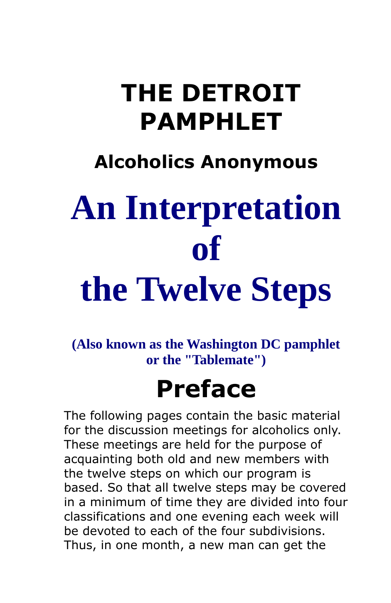### **THE DETROIT PAMPHLET**

### **Alcoholics Anonymous**

# **An Interpretation of**

## **the Twelve Steps**

**(Also known as the Washington DC pamphlet or the "Tablemate")**

### **Preface**

The following pages contain the basic material for the discussion meetings for alcoholics only. These meetings are held for the purpose of acquainting both old and new members with the twelve steps on which our program is based. So that all twelve steps may be covered in a minimum of time they are divided into four classifications and one evening each week will be devoted to each of the four subdivisions. Thus, in one month, a new man can get the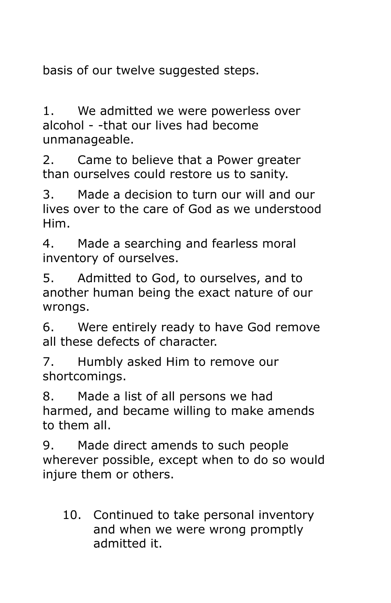basis of our twelve suggested steps.

1. We admitted we were powerless over alcohol - -that our lives had become unmanageable.

2. Came to believe that a Power greater than ourselves could restore us to sanity.

3. Made a decision to turn our will and our lives over to the care of God as we understood Him.

4. Made a searching and fearless moral inventory of ourselves.

5. Admitted to God, to ourselves, and to another human being the exact nature of our wrongs.

6. Were entirely ready to have God remove all these defects of character.

7. Humbly asked Him to remove our shortcomings.

8. Made a list of all persons we had harmed, and became willing to make amends to them all.

9. Made direct amends to such people wherever possible, except when to do so would injure them or others.

10. Continued to take personal inventory and when we were wrong promptly admitted it.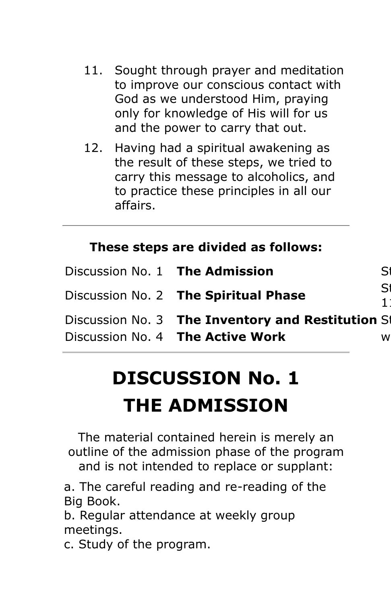- 11. Sought through prayer and meditation to improve our conscious contact with God as we understood Him, praying only for knowledge of His will for us and the power to carry that out.
- 12. Having had a spiritual awakening as the result of these steps, we tried to carry this message to alcoholics, and to practice these principles in all our affairs.

#### **These steps are divided as follows:**

| Discussion No. 1 The Admission                    | S |
|---------------------------------------------------|---|
| Discussion No. 2 The Spiritual Phase              | S |
| Discussion No. 3 The Inventory and Restitution St |   |
| Discussion No. 4 The Active Work                  | w |
|                                                   |   |

## **DISCUSSION No. 1**

### **THE ADMISSION**

The material contained herein is merely an outline of the admission phase of the program and is not intended to replace or supplant:

a. The careful reading and re-reading of the Big Book.

b. Regular attendance at weekly group meetings.

c. Study of the program.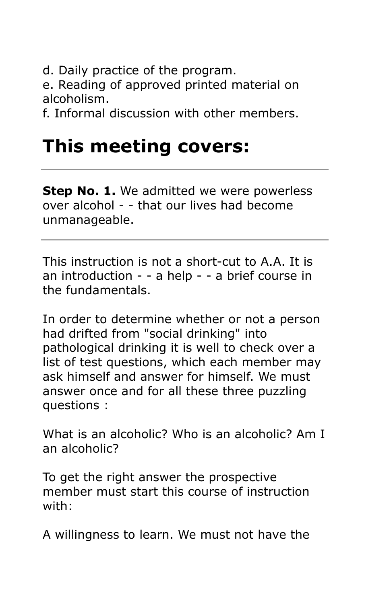d. Daily practice of the program.

e. Reading of approved printed material on alcoholism.

f. Informal discussion with other members.

### **This meeting covers:**

**Step No. 1.** We admitted we were powerless over alcohol - - that our lives had become unmanageable.

This instruction is not a short-cut to A.A. It is an introduction - - a help - - a brief course in the fundamentals.

In order to determine whether or not a person had drifted from "social drinking" into pathological drinking it is well to check over a list of test questions, which each member may ask himself and answer for himself. We must answer once and for all these three puzzling questions :

What is an alcoholic? Who is an alcoholic? Am I an alcoholic?

To get the right answer the prospective member must start this course of instruction with:

A willingness to learn. We must not have the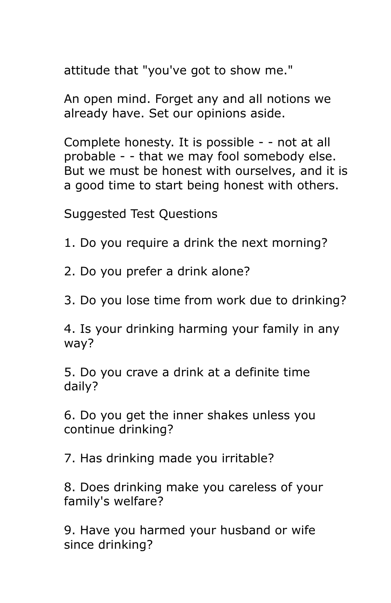attitude that "you've got to show me."

An open mind. Forget any and all notions we already have. Set our opinions aside.

Complete honesty. It is possible - - not at all probable - - that we may fool somebody else. But we must be honest with ourselves, and it is a good time to start being honest with others.

Suggested Test Questions

1. Do you require a drink the next morning?

2. Do you prefer a drink alone?

3. Do you lose time from work due to drinking?

4. Is your drinking harming your family in any way?

5. Do you crave a drink at a definite time daily?

6. Do you get the inner shakes unless you continue drinking?

7. Has drinking made you irritable?

8. Does drinking make you careless of your family's welfare?

9. Have you harmed your husband or wife since drinking?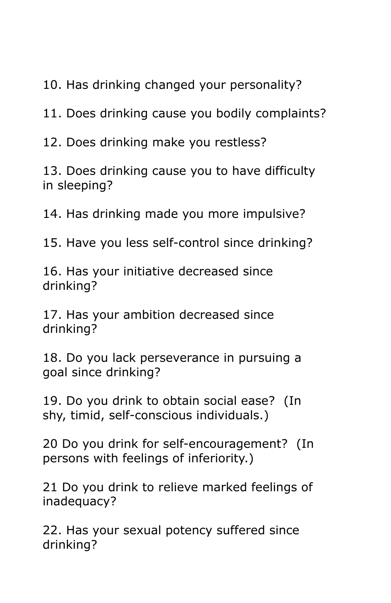10. Has drinking changed your personality?

11. Does drinking cause you bodily complaints?

12. Does drinking make you restless?

13. Does drinking cause you to have difficulty in sleeping?

14. Has drinking made you more impulsive?

15. Have you less self-control since drinking?

16. Has your initiative decreased since drinking?

17. Has your ambition decreased since drinking?

18. Do you lack perseverance in pursuing a goal since drinking?

19. Do you drink to obtain social ease? (In shy, timid, self-conscious individuals.)

20 Do you drink for self-encouragement? (In persons with feelings of inferiority.)

21 Do you drink to relieve marked feelings of inadequacy?

22. Has your sexual potency suffered since drinking?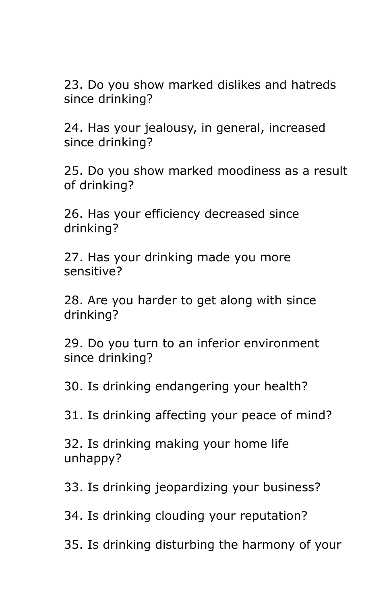23. Do you show marked dislikes and hatreds since drinking?

24. Has your jealousy, in general, increased since drinking?

25. Do you show marked moodiness as a result of drinking?

26. Has your efficiency decreased since drinking?

27. Has your drinking made you more sensitive?

28. Are you harder to get along with since drinking?

29. Do you turn to an inferior environment since drinking?

30. Is drinking endangering your health?

31. Is drinking affecting your peace of mind?

32. Is drinking making your home life unhappy?

33. Is drinking jeopardizing your business?

34. Is drinking clouding your reputation?

35. Is drinking disturbing the harmony of your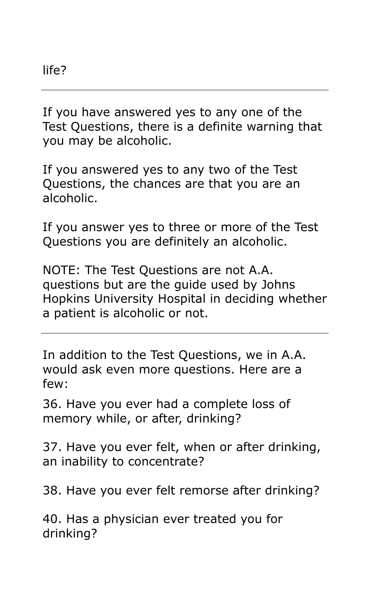If you have answered yes to any one of the Test Questions, there is a definite warning that you may be alcoholic.

If you answered yes to any two of the Test Questions, the chances are that you are an alcoholic.

If you answer yes to three or more of the Test Questions you are definitely an alcoholic.

NOTE: The Test Questions are not A.A. questions but are the guide used by Johns Hopkins University Hospital in deciding whether a patient is alcoholic or not.

In addition to the Test Questions, we in A.A. would ask even more questions. Here are a few:

36. Have you ever had a complete loss of memory while, or after, drinking?

37. Have you ever felt, when or after drinking, an inability to concentrate?

38. Have you ever felt remorse after drinking?

40. Has a physician ever treated you for drinking?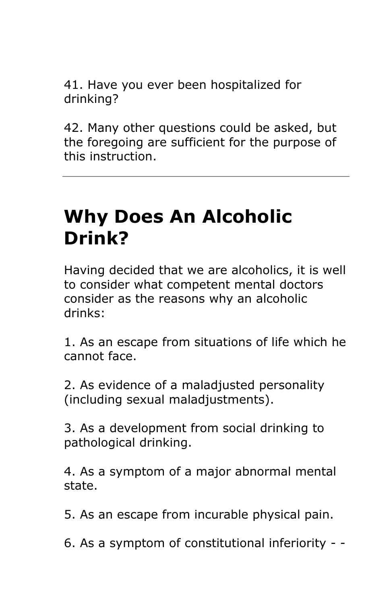41. Have you ever been hospitalized for drinking?

42. Many other questions could be asked, but the foregoing are sufficient for the purpose of this instruction.

### **Why Does An Alcoholic Drink?**

Having decided that we are alcoholics, it is well to consider what competent mental doctors consider as the reasons why an alcoholic drinks:

1. As an escape from situations of life which he cannot face.

2. As evidence of a maladjusted personality (including sexual maladjustments).

3. As a development from social drinking to pathological drinking.

4. As a symptom of a major abnormal mental state.

5. As an escape from incurable physical pain.

6. As a symptom of constitutional inferiority - -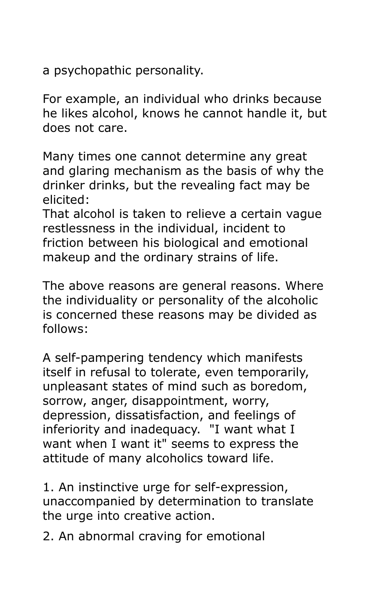a psychopathic personality.

For example, an individual who drinks because he likes alcohol, knows he cannot handle it, but does not care.

Many times one cannot determine any great and glaring mechanism as the basis of why the drinker drinks, but the revealing fact may be elicited:

That alcohol is taken to relieve a certain vague restlessness in the individual, incident to friction between his biological and emotional makeup and the ordinary strains of life.

The above reasons are general reasons. Where the individuality or personality of the alcoholic is concerned these reasons may be divided as follows:

A self-pampering tendency which manifests itself in refusal to tolerate, even temporarily, unpleasant states of mind such as boredom, sorrow, anger, disappointment, worry, depression, dissatisfaction, and feelings of inferiority and inadequacy. "I want what I want when I want it" seems to express the attitude of many alcoholics toward life.

1. An instinctive urge for self-expression, unaccompanied by determination to translate the urge into creative action.

2. An abnormal craving for emotional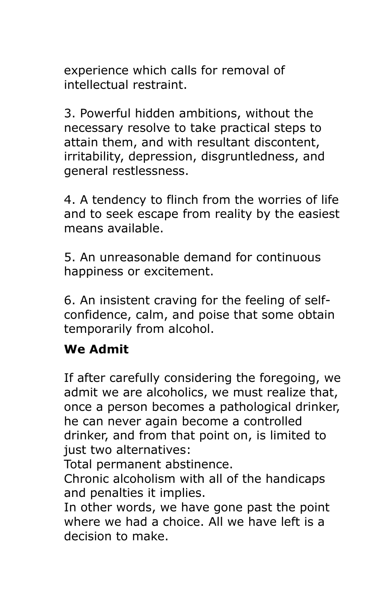experience which calls for removal of intellectual restraint.

3. Powerful hidden ambitions, without the necessary resolve to take practical steps to attain them, and with resultant discontent, irritability, depression, disgruntledness, and general restlessness.

4. A tendency to flinch from the worries of life and to seek escape from reality by the easiest means available.

5. An unreasonable demand for continuous happiness or excitement.

6. An insistent craving for the feeling of selfconfidence, calm, and poise that some obtain temporarily from alcohol.

#### **We Admit**

If after carefully considering the foregoing, we admit we are alcoholics, we must realize that, once a person becomes a pathological drinker, he can never again become a controlled drinker, and from that point on, is limited to just two alternatives:

Total permanent abstinence.

Chronic alcoholism with all of the handicaps and penalties it implies.

In other words, we have gone past the point where we had a choice. All we have left is a decision to make.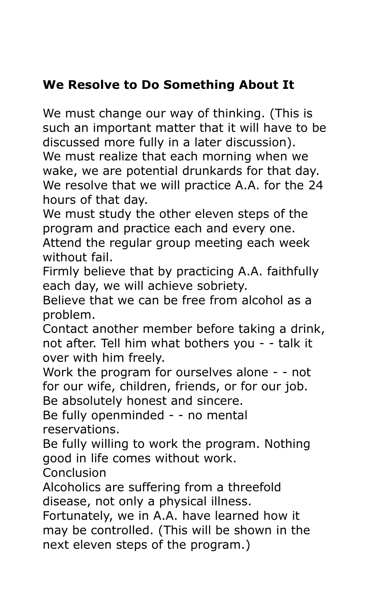#### **We Resolve to Do Something About It**

We must change our way of thinking. (This is such an important matter that it will have to be discussed more fully in a later discussion). We must realize that each morning when we wake, we are potential drunkards for that day. We resolve that we will practice A.A. for the 24 hours of that day.

We must study the other eleven steps of the program and practice each and every one.

Attend the regular group meeting each week without fail.

Firmly believe that by practicing A.A. faithfully each day, we will achieve sobriety.

Believe that we can be free from alcohol as a problem.

Contact another member before taking a drink, not after. Tell him what bothers you - - talk it over with him freely.

Work the program for ourselves alone - - not for our wife, children, friends, or for our job. Be absolutely honest and sincere.

Be fully openminded - - no mental reservations.

Be fully willing to work the program. Nothing good in life comes without work.

Conclusion

Alcoholics are suffering from a threefold disease, not only a physical illness.

Fortunately, we in A.A. have learned how it may be controlled. (This will be shown in the next eleven steps of the program.)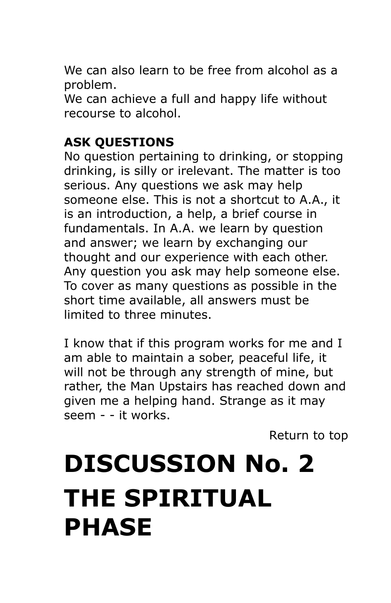We can also learn to be free from alcohol as a problem.

We can achieve a full and happy life without recourse to alcohol.

#### **ASK QUESTIONS**

No question pertaining to drinking, or stopping drinking, is silly or irelevant. The matter is too serious. Any questions we ask may help someone else. This is not a shortcut to A.A., it is an introduction, a help, a brief course in fundamentals. In A.A. we learn by question and answer; we learn by exchanging our thought and our experience with each other. Any question you ask may help someone else. To cover as many questions as possible in the short time available, all answers must be limited to three minutes.

I know that if this program works for me and I am able to maintain a sober, peaceful life, it will not be through any strength of mine, but rather, the Man Upstairs has reached down and given me a helping hand. Strange as it may seem - - it works.

[Return to top](http://westbalto.a-1associates.com/INFO%20LIST/DetroitPamphmet.htm#THE_DETROIT_PAMPHLET)

### **DISCUSSION No. 2 THE SPIRITUAL PHASE**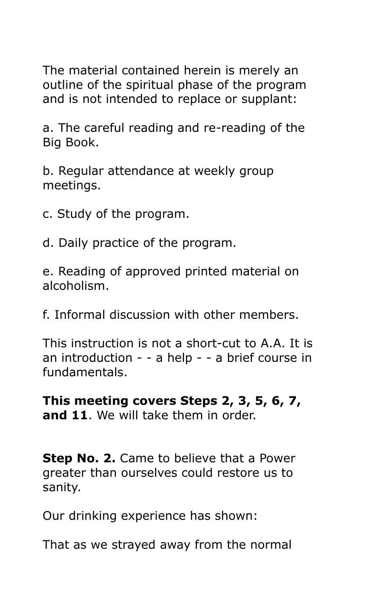The material contained herein is merely an outline of the spiritual phase of the program and is not intended to replace or supplant:

a. The careful reading and re-reading of the Big Book.

b. Regular attendance at weekly group meetings.

c. Study of the program.

d. Daily practice of the program.

e. Reading of approved printed material on alcoholism.

f. Informal discussion with other members.

This instruction is not a short-cut to A.A. It is an introduction - - a help - - a brief course in fundamentals.

**This meeting covers Steps 2, 3, 5, 6, 7, and 11**. We will take them in order.

**Step No. 2.** Came to believe that a Power greater than ourselves could restore us to sanity.

Our drinking experience has shown:

That as we strayed away from the normal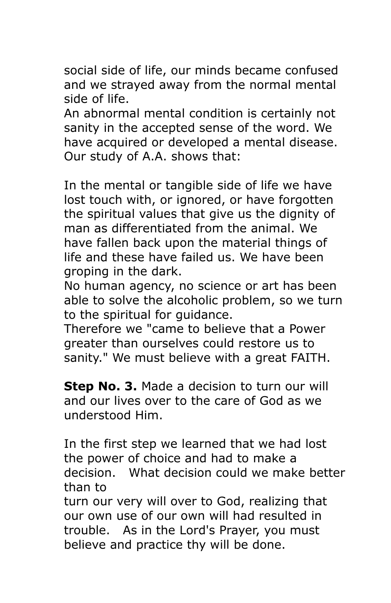social side of life, our minds became confused and we strayed away from the normal mental side of life.

An abnormal mental condition is certainly not sanity in the accepted sense of the word. We have acquired or developed a mental disease. Our study of A.A. shows that:

In the mental or tangible side of life we have lost touch with, or ignored, or have forgotten the spiritual values that give us the dignity of man as differentiated from the animal. We have fallen back upon the material things of life and these have failed us. We have been groping in the dark.

No human agency, no science or art has been able to solve the alcoholic problem, so we turn to the spiritual for guidance.

Therefore we "came to believe that a Power greater than ourselves could restore us to sanity." We must believe with a great FAITH.

**Step No. 3.** Made a decision to turn our will and our lives over to the care of God as we understood Him.

In the first step we learned that we had lost the power of choice and had to make a decision. What decision could we make better than to

turn our very will over to God, realizing that our own use of our own will had resulted in trouble. As in the Lord's Prayer, you must believe and practice thy will be done.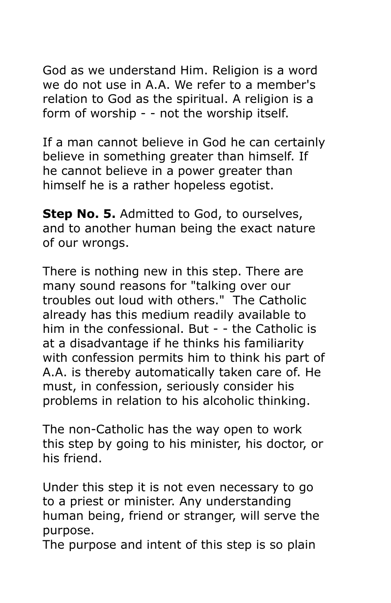God as we understand Him. Religion is a word we do not use in A.A. We refer to a member's relation to God as the spiritual. A religion is a form of worship - - not the worship itself.

If a man cannot believe in God he can certainly believe in something greater than himself. If he cannot believe in a power greater than himself he is a rather hopeless egotist.

**Step No. 5.** Admitted to God, to ourselves, and to another human being the exact nature of our wrongs.

There is nothing new in this step. There are many sound reasons for "talking over our troubles out loud with others." The Catholic already has this medium readily available to him in the confessional. But - - the Catholic is at a disadvantage if he thinks his familiarity with confession permits him to think his part of A.A. is thereby automatically taken care of. He must, in confession, seriously consider his problems in relation to his alcoholic thinking.

The non-Catholic has the way open to work this step by going to his minister, his doctor, or his friend.

Under this step it is not even necessary to go to a priest or minister. Any understanding human being, friend or stranger, will serve the purpose.

The purpose and intent of this step is so plain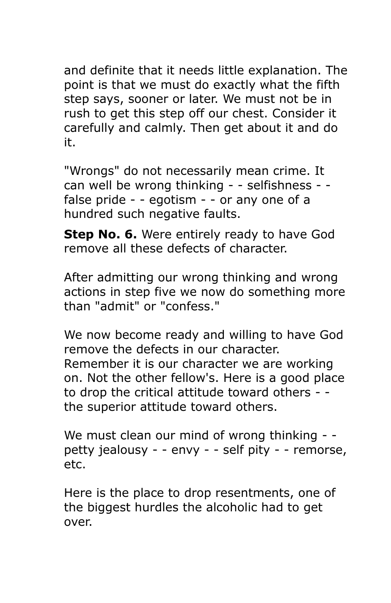and definite that it needs little explanation. The point is that we must do exactly what the fifth step says, sooner or later. We must not be in rush to get this step off our chest. Consider it carefully and calmly. Then get about it and do it.

"Wrongs" do not necessarily mean crime. It can well be wrong thinking - - selfishness - false pride - - egotism - - or any one of a hundred such negative faults.

**Step No. 6.** Were entirely ready to have God remove all these defects of character.

After admitting our wrong thinking and wrong actions in step five we now do something more than "admit" or "confess."

We now become ready and willing to have God remove the defects in our character. Remember it is our character we are working on. Not the other fellow's. Here is a good place to drop the critical attitude toward others - the superior attitude toward others.

We must clean our mind of wrong thinking - petty jealousy - - envy - - self pity - - remorse, etc.

Here is the place to drop resentments, one of the biggest hurdles the alcoholic had to get over.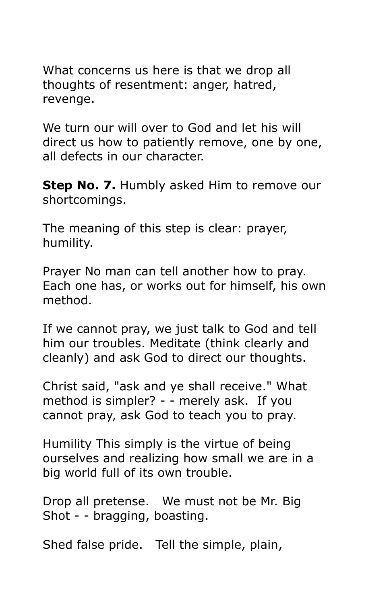What concerns us here is that we drop all thoughts of resentment: anger, hatred, revenge.

We turn our will over to God and let his will direct us how to patiently remove, one by one, all defects in our character.

**Step No. 7.** Humbly asked Him to remove our shortcomings.

The meaning of this step is clear: prayer, humility.

Prayer No man can tell another how to pray. Each one has, or works out for himself, his own method.

If we cannot pray, we just talk to God and tell him our troubles. Meditate (think clearly and cleanly) and ask God to direct our thoughts.

Christ said, "ask and ye shall receive." What method is simpler? - - merely ask. If you cannot pray, ask God to teach you to pray.

Humility This simply is the virtue of being ourselves and realizing how small we are in a big world full of its own trouble.

Drop all pretense. We must not be Mr. Big Shot - - bragging, boasting.

Shed false pride. Tell the simple, plain,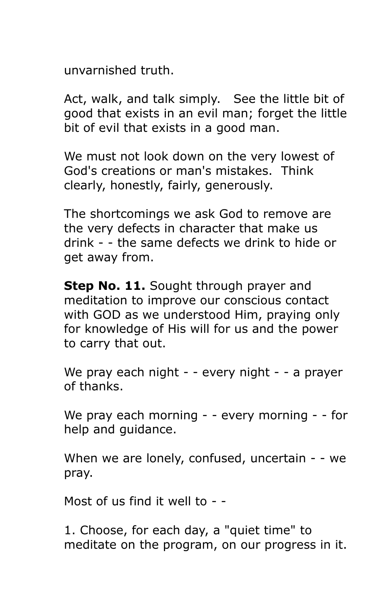unvarnished truth.

Act, walk, and talk simply. See the little bit of good that exists in an evil man; forget the little bit of evil that exists in a good man.

We must not look down on the very lowest of God's creations or man's mistakes. Think clearly, honestly, fairly, generously.

The shortcomings we ask God to remove are the very defects in character that make us drink - - the same defects we drink to hide or get away from.

**Step No. 11.** Sought through prayer and meditation to improve our conscious contact with GOD as we understood Him, praying only for knowledge of His will for us and the power to carry that out.

We pray each night - - every night - - a prayer of thanks.

We pray each morning - - every morning - - for help and guidance.

When we are lonely, confused, uncertain - - we pray.

Most of us find it well to - -

1. Choose, for each day, a "quiet time" to meditate on the program, on our progress in it.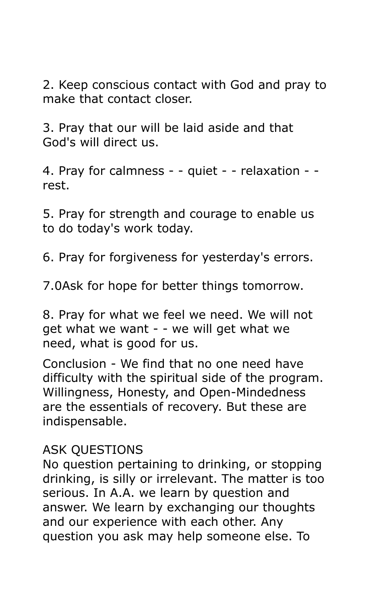2. Keep conscious contact with God and pray to make that contact closer.

3. Pray that our will be laid aside and that God's will direct us.

4. Pray for calmness - - quiet - - relaxation - rest.

5. Pray for strength and courage to enable us to do today's work today.

6. Pray for forgiveness for yesterday's errors.

7.0Ask for hope for better things tomorrow.

8. Pray for what we feel we need. We will not get what we want - - we will get what we need, what is good for us.

Conclusion - We find that no one need have difficulty with the spiritual side of the program. Willingness, Honesty, and Open-Mindedness are the essentials of recovery. But these are indispensable.

#### ASK QUESTIONS

No question pertaining to drinking, or stopping drinking, is silly or irrelevant. The matter is too serious. In A.A. we learn by question and answer. We learn by exchanging our thoughts and our experience with each other. Any question you ask may help someone else. To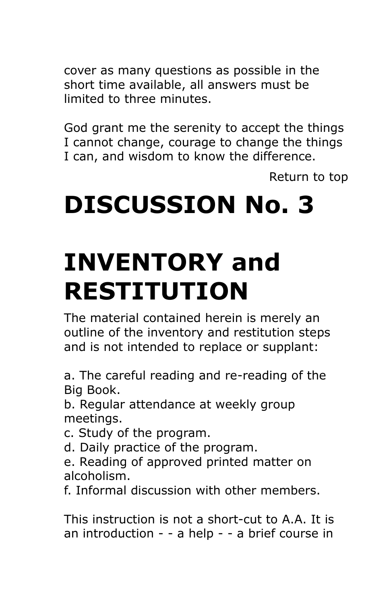cover as many questions as possible in the short time available, all answers must be limited to three minutes.

God grant me the serenity to accept the things I cannot change, courage to change the things I can, and wisdom to know the difference.

[Return to top](http://westbalto.a-1associates.com/INFO%20LIST/DetroitPamphmet.htm#THE_DETROIT_PAMPHLET)

### **DISCUSSION No. 3**

### **INVENTORY and RESTITUTION**

The material contained herein is merely an outline of the inventory and restitution steps and is not intended to replace or supplant:

a. The careful reading and re-reading of the Big Book.

b. Regular attendance at weekly group meetings.

- c. Study of the program.
- d. Daily practice of the program.
- e. Reading of approved printed matter on alcoholism.

f. Informal discussion with other members.

This instruction is not a short-cut to A.A. It is an introduction - - a help - - a brief course in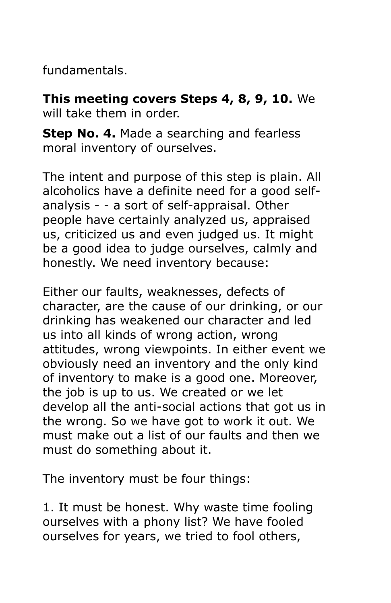fundamentals.

**This meeting covers Steps 4, 8, 9, 10.** We will take them in order.

**Step No. 4.** Made a searching and fearless moral inventory of ourselves.

The intent and purpose of this step is plain. All alcoholics have a definite need for a good selfanalysis - - a sort of self-appraisal. Other people have certainly analyzed us, appraised us, criticized us and even judged us. It might be a good idea to judge ourselves, calmly and honestly. We need inventory because:

Either our faults, weaknesses, defects of character, are the cause of our drinking, or our drinking has weakened our character and led us into all kinds of wrong action, wrong attitudes, wrong viewpoints. In either event we obviously need an inventory and the only kind of inventory to make is a good one. Moreover, the job is up to us. We created or we let develop all the anti-social actions that got us in the wrong. So we have got to work it out. We must make out a list of our faults and then we must do something about it.

The inventory must be four things:

1. It must be honest. Why waste time fooling ourselves with a phony list? We have fooled ourselves for years, we tried to fool others,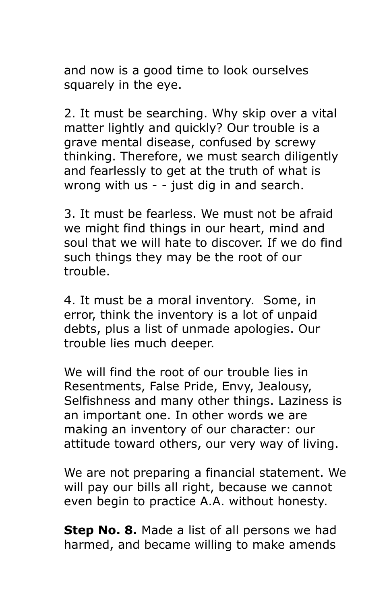and now is a good time to look ourselves squarely in the eye.

2. It must be searching. Why skip over a vital matter lightly and quickly? Our trouble is a grave mental disease, confused by screwy thinking. Therefore, we must search diligently and fearlessly to get at the truth of what is wrong with us - - just dig in and search.

3. It must be fearless. We must not be afraid we might find things in our heart, mind and soul that we will hate to discover. If we do find such things they may be the root of our trouble.

4. It must be a moral inventory. Some, in error, think the inventory is a lot of unpaid debts, plus a list of unmade apologies. Our trouble lies much deeper.

We will find the root of our trouble lies in Resentments, False Pride, Envy, Jealousy, Selfishness and many other things. Laziness is an important one. In other words we are making an inventory of our character: our attitude toward others, our very way of living.

We are not preparing a financial statement. We will pay our bills all right, because we cannot even begin to practice A.A. without honesty.

**Step No. 8.** Made a list of all persons we had harmed, and became willing to make amends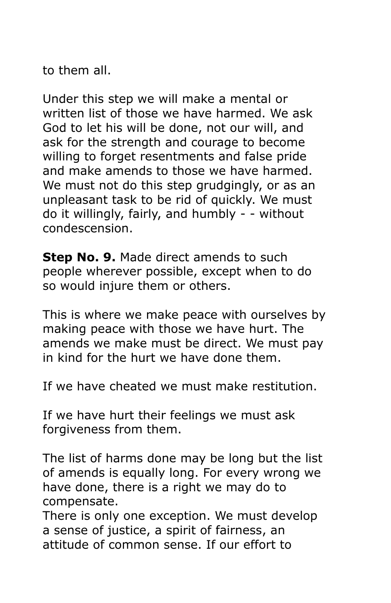to them all.

Under this step we will make a mental or written list of those we have harmed. We ask God to let his will be done, not our will, and ask for the strength and courage to become willing to forget resentments and false pride and make amends to those we have harmed. We must not do this step grudgingly, or as an unpleasant task to be rid of quickly. We must do it willingly, fairly, and humbly - - without condescension.

**Step No. 9.** Made direct amends to such people wherever possible, except when to do so would injure them or others.

This is where we make peace with ourselves by making peace with those we have hurt. The amends we make must be direct. We must pay in kind for the hurt we have done them.

If we have cheated we must make restitution.

If we have hurt their feelings we must ask forgiveness from them.

The list of harms done may be long but the list of amends is equally long. For every wrong we have done, there is a right we may do to compensate.

There is only one exception. We must develop a sense of justice, a spirit of fairness, an attitude of common sense. If our effort to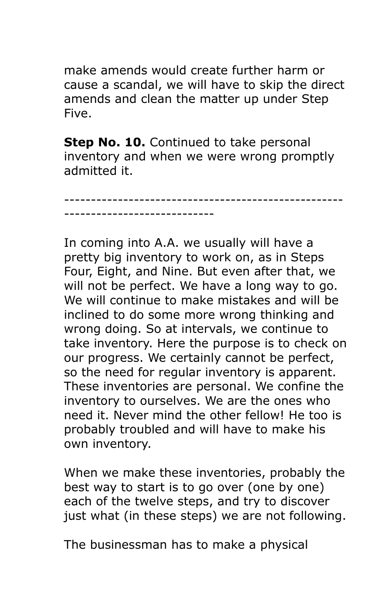make amends would create further harm or cause a scandal, we will have to skip the direct amends and clean the matter up under Step Five.

**Step No. 10.** Continued to take personal inventory and when we were wrong promptly admitted it.

----------------------------------------------------

----------------------------

In coming into A.A. we usually will have a pretty big inventory to work on, as in Steps Four, Eight, and Nine. But even after that, we will not be perfect. We have a long way to go. We will continue to make mistakes and will be inclined to do some more wrong thinking and wrong doing. So at intervals, we continue to take inventory. Here the purpose is to check on our progress. We certainly cannot be perfect, so the need for regular inventory is apparent. These inventories are personal. We confine the inventory to ourselves. We are the ones who need it. Never mind the other fellow! He too is probably troubled and will have to make his own inventory.

When we make these inventories, probably the best way to start is to go over (one by one) each of the twelve steps, and try to discover just what (in these steps) we are not following.

The businessman has to make a physical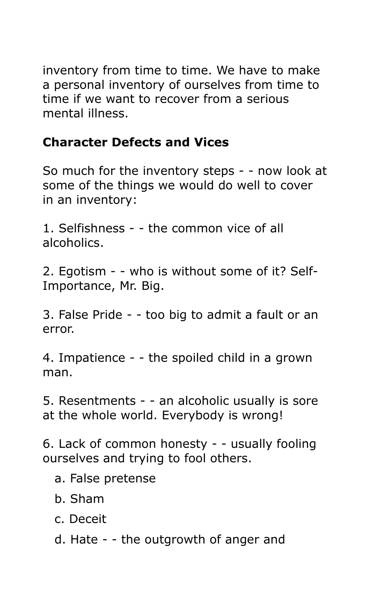inventory from time to time. We have to make a personal inventory of ourselves from time to time if we want to recover from a serious mental illness.

#### **Character Defects and Vices**

So much for the inventory steps - - now look at some of the things we would do well to cover in an inventory:

1. Selfishness - - the common vice of all alcoholics.

2. Egotism - - who is without some of it? Self-Importance, Mr. Big.

3. False Pride - - too big to admit a fault or an error.

4. Impatience - - the spoiled child in a grown man.

5. Resentments - - an alcoholic usually is sore at the whole world. Everybody is wrong!

6. Lack of common honesty - - usually fooling ourselves and trying to fool others.

- a. False pretense
- b. Sham
- c. Deceit
- d. Hate - the outgrowth of anger and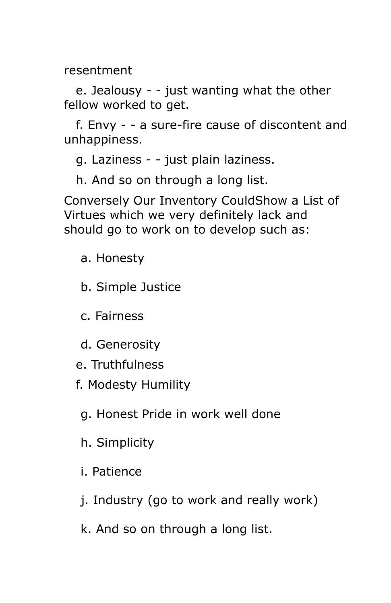resentment

 e. Jealousy - - just wanting what the other fellow worked to get.

 f. Envy - - a sure-fire cause of discontent and unhappiness.

g. Laziness - - just plain laziness.

h. And so on through a long list.

Conversely Our Inventory CouldShow a List of Virtues which we very definitely lack and should go to work on to develop such as:

a. Honesty

b. Simple Justice

c. Fairness

d. Generosity

e. Truthfulness

f. Modesty Humility

g. Honest Pride in work well done

h. Simplicity

i. Patience

j. Industry (go to work and really work)

k. And so on through a long list.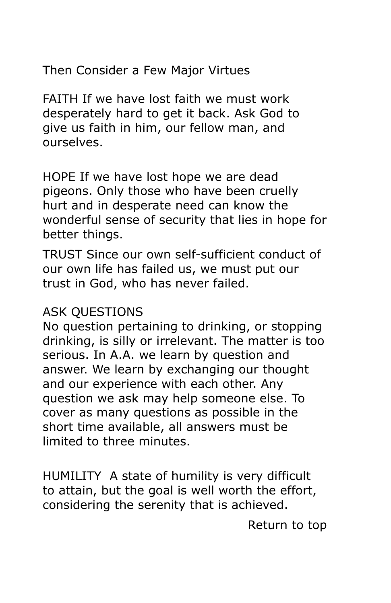Then Consider a Few Major Virtues

FAITH If we have lost faith we must work desperately hard to get it back. Ask God to give us faith in him, our fellow man, and ourselves.

HOPE If we have lost hope we are dead pigeons. Only those who have been cruelly hurt and in desperate need can know the wonderful sense of security that lies in hope for better things.

TRUST Since our own self-sufficient conduct of our own life has failed us, we must put our trust in God, who has never failed.

#### ASK QUESTIONS

No question pertaining to drinking, or stopping drinking, is silly or irrelevant. The matter is too serious. In A.A. we learn by question and answer. We learn by exchanging our thought and our experience with each other. Any question we ask may help someone else. To cover as many questions as possible in the short time available, all answers must be limited to three minutes.

HUMILITY A state of humility is very difficult to attain, but the goal is well worth the effort, considering the serenity that is achieved.

[Return to top](http://westbalto.a-1associates.com/INFO%20LIST/DetroitPamphmet.htm#THE_DETROIT_PAMPHLET)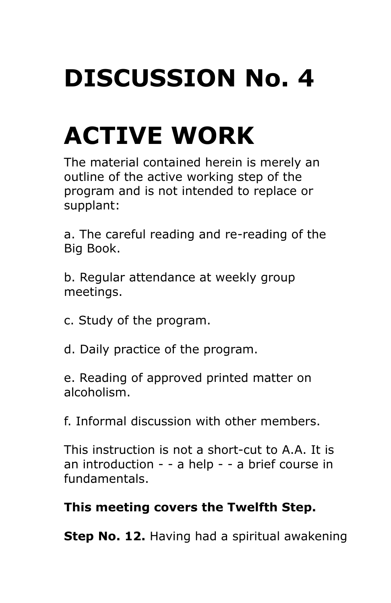## **DISCUSSION No. 4**

## **ACTIVE WORK**

The material contained herein is merely an outline of the active working step of the program and is not intended to replace or supplant:

a. The careful reading and re-reading of the Big Book.

b. Regular attendance at weekly group meetings.

c. Study of the program.

d. Daily practice of the program.

e. Reading of approved printed matter on alcoholism.

f. Informal discussion with other members.

This instruction is not a short-cut to A.A. It is an introduction - - a help - - a brief course in fundamentals.

#### **This meeting covers the Twelfth Step.**

**Step No. 12.** Having had a spiritual awakening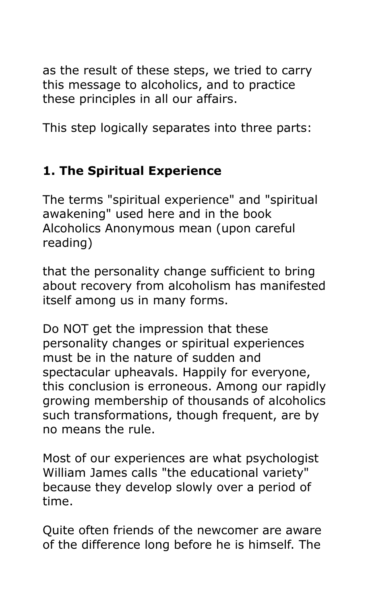as the result of these steps, we tried to carry this message to alcoholics, and to practice these principles in all our affairs.

This step logically separates into three parts:

#### **1. The Spiritual Experience**

The terms "spiritual experience" and "spiritual awakening" used here and in the book Alcoholics Anonymous mean (upon careful reading)

that the personality change sufficient to bring about recovery from alcoholism has manifested itself among us in many forms.

Do NOT get the impression that these personality changes or spiritual experiences must be in the nature of sudden and spectacular upheavals. Happily for everyone, this conclusion is erroneous. Among our rapidly growing membership of thousands of alcoholics such transformations, though frequent, are by no means the rule.

Most of our experiences are what psychologist William James calls "the educational variety" because they develop slowly over a period of time.

Quite often friends of the newcomer are aware of the difference long before he is himself. The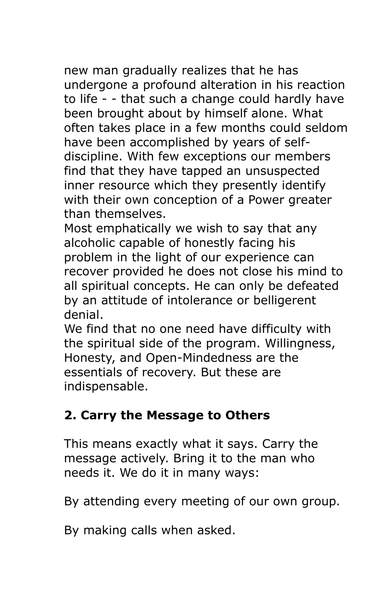new man gradually realizes that he has undergone a profound alteration in his reaction to life - - that such a change could hardly have been brought about by himself alone. What often takes place in a few months could seldom have been accomplished by years of selfdiscipline. With few exceptions our members find that they have tapped an unsuspected inner resource which they presently identify with their own conception of a Power greater than themselves.

Most emphatically we wish to say that any alcoholic capable of honestly facing his problem in the light of our experience can recover provided he does not close his mind to all spiritual concepts. He can only be defeated by an attitude of intolerance or belligerent denial.

We find that no one need have difficulty with the spiritual side of the program. Willingness, Honesty, and Open-Mindedness are the essentials of recovery. But these are indispensable.

#### **2. Carry the Message to Others**

This means exactly what it says. Carry the message actively. Bring it to the man who needs it. We do it in many ways:

By attending every meeting of our own group.

By making calls when asked.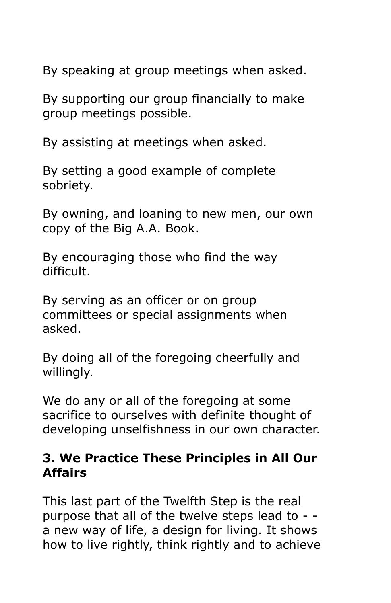By speaking at group meetings when asked.

By supporting our group financially to make group meetings possible.

By assisting at meetings when asked.

By setting a good example of complete sobriety.

By owning, and loaning to new men, our own copy of the Big A.A. Book.

By encouraging those who find the way difficult.

By serving as an officer or on group committees or special assignments when asked.

By doing all of the foregoing cheerfully and willingly.

We do any or all of the foregoing at some sacrifice to ourselves with definite thought of developing unselfishness in our own character.

#### **3. We Practice These Principles in All Our Affairs**

This last part of the Twelfth Step is the real purpose that all of the twelve steps lead to - a new way of life, a design for living. It shows how to live rightly, think rightly and to achieve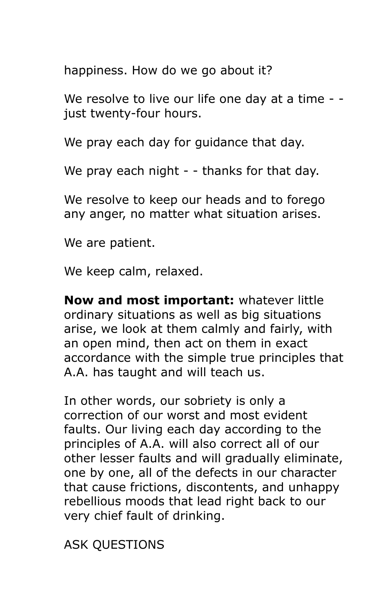happiness. How do we go about it?

We resolve to live our life one day at a time - just twenty-four hours.

We pray each day for guidance that day.

We pray each night - - thanks for that day.

We resolve to keep our heads and to forego any anger, no matter what situation arises.

We are patient.

We keep calm, relaxed.

**Now and most important:** whatever little ordinary situations as well as big situations arise, we look at them calmly and fairly, with an open mind, then act on them in exact accordance with the simple true principles that A.A. has taught and will teach us.

In other words, our sobriety is only a correction of our worst and most evident faults. Our living each day according to the principles of A.A. will also correct all of our other lesser faults and will gradually eliminate, one by one, all of the defects in our character that cause frictions, discontents, and unhappy rebellious moods that lead right back to our very chief fault of drinking.

ASK QUESTIONS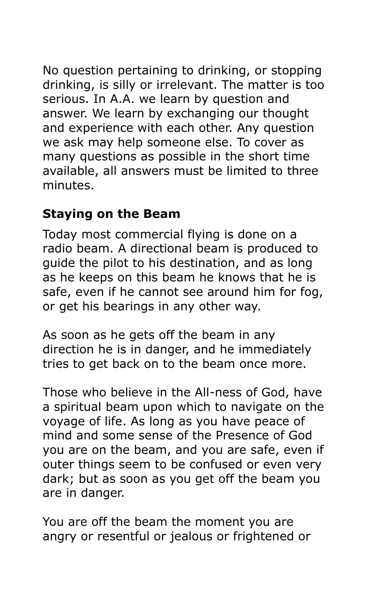No question pertaining to drinking, or stopping drinking, is silly or irrelevant. The matter is too serious. In A.A. we learn by question and answer. We learn by exchanging our thought and experience with each other. Any question we ask may help someone else. To cover as many questions as possible in the short time available, all answers must be limited to three minutes.

#### **Staying on the Beam**

Today most commercial flying is done on a radio beam. A directional beam is produced to guide the pilot to his destination, and as long as he keeps on this beam he knows that he is safe, even if he cannot see around him for fog, or get his bearings in any other way.

As soon as he gets off the beam in any direction he is in danger, and he immediately tries to get back on to the beam once more.

Those who believe in the All-ness of God, have a spiritual beam upon which to navigate on the voyage of life. As long as you have peace of mind and some sense of the Presence of God you are on the beam, and you are safe, even if outer things seem to be confused or even very dark; but as soon as you get off the beam you are in danger.

You are off the beam the moment you are angry or resentful or jealous or frightened or